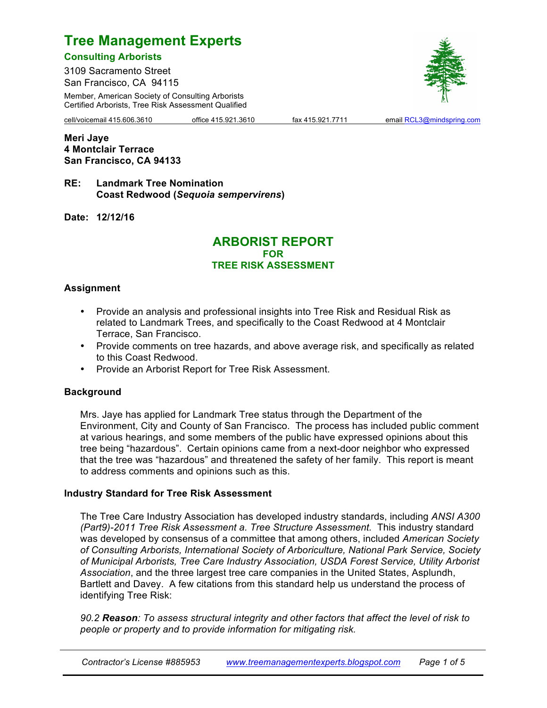# **Consulting Arborists**

3109 Sacramento Street San Francisco, CA 94115

Member, American Society of Consulting Arborists Certified Arborists, Tree Risk Assessment Qualified

cell/voicemail 415.606.3610 office 415.921.3610 fax 415.921.7711 email RCL3@mindspring.com

**Meri Jaye 4 Montclair Terrace San Francisco, CA 94133**

**RE: Landmark Tree Nomination Coast Redwood (***Sequoia sempervirens***)**

**Date: 12/12/16**

# **ARBORIST REPORT FOR TREE RISK ASSESSMENT**

# **Assignment**

- Provide an analysis and professional insights into Tree Risk and Residual Risk as related to Landmark Trees, and specifically to the Coast Redwood at 4 Montclair Terrace, San Francisco.
- Provide comments on tree hazards, and above average risk, and specifically as related to this Coast Redwood.
- Provide an Arborist Report for Tree Risk Assessment.

#### **Background**

Mrs. Jaye has applied for Landmark Tree status through the Department of the Environment, City and County of San Francisco. The process has included public comment at various hearings, and some members of the public have expressed opinions about this tree being "hazardous". Certain opinions came from a next-door neighbor who expressed that the tree was "hazardous" and threatened the safety of her family. This report is meant to address comments and opinions such as this.

# **Industry Standard for Tree Risk Assessment**

The Tree Care Industry Association has developed industry standards, including *ANSI A300 (Part9)-2011 Tree Risk Assessment a. Tree Structure Assessment.* This industry standard was developed by consensus of a committee that among others, included *American Society of Consulting Arborists, International Society of Arboriculture, National Park Service, Society of Municipal Arborists, Tree Care Industry Association, USDA Forest Service, Utility Arborist Association*, and the three largest tree care companies in the United States, Asplundh, Bartlett and Davey. A few citations from this standard help us understand the process of identifying Tree Risk:

*90.2 Reason: To assess structural integrity and other factors that affect the level of risk to people or property and to provide information for mitigating risk.*

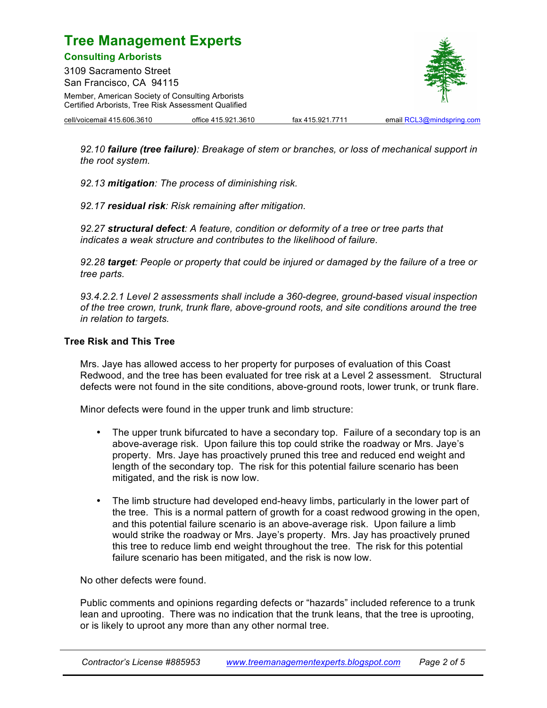**Consulting Arborists**

3109 Sacramento Street San Francisco, CA 94115 Member, American Society of Consulting Arborists Certified Arborists, Tree Risk Assessment Qualified



cell/voicemail 415.606.3610 office 415.921.3610 fax 415.921.7711 email RCL3@mindspring.com

*92.10 failure (tree failure): Breakage of stem or branches, or loss of mechanical support in the root system.*

*92.13 mitigation: The process of diminishing risk.*

*92.17 residual risk: Risk remaining after mitigation.*

*92.27 structural defect: A feature, condition or deformity of a tree or tree parts that indicates a weak structure and contributes to the likelihood of failure.*

*92.28 target: People or property that could be injured or damaged by the failure of a tree or tree parts.*

*93.4.2.2.1 Level 2 assessments shall include a 360-degree, ground-based visual inspection of the tree crown, trunk, trunk flare, above-ground roots, and site conditions around the tree in relation to targets.*

### **Tree Risk and This Tree**

Mrs. Jaye has allowed access to her property for purposes of evaluation of this Coast Redwood, and the tree has been evaluated for tree risk at a Level 2 assessment. Structural defects were not found in the site conditions, above-ground roots, lower trunk, or trunk flare.

Minor defects were found in the upper trunk and limb structure:

- The upper trunk bifurcated to have a secondary top. Failure of a secondary top is an above-average risk. Upon failure this top could strike the roadway or Mrs. Jaye's property. Mrs. Jaye has proactively pruned this tree and reduced end weight and length of the secondary top. The risk for this potential failure scenario has been mitigated, and the risk is now low.
- The limb structure had developed end-heavy limbs, particularly in the lower part of the tree. This is a normal pattern of growth for a coast redwood growing in the open, and this potential failure scenario is an above-average risk. Upon failure a limb would strike the roadway or Mrs. Jaye's property. Mrs. Jay has proactively pruned this tree to reduce limb end weight throughout the tree. The risk for this potential failure scenario has been mitigated, and the risk is now low.

No other defects were found.

Public comments and opinions regarding defects or "hazards" included reference to a trunk lean and uprooting. There was no indication that the trunk leans, that the tree is uprooting, or is likely to uproot any more than any other normal tree.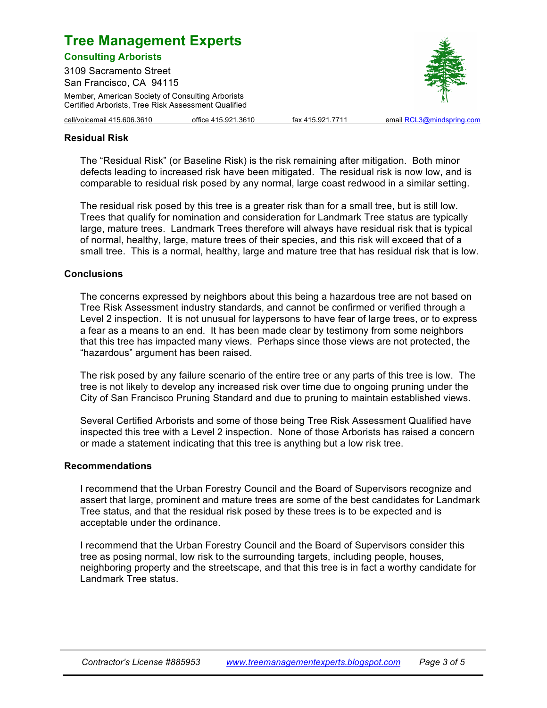**Consulting Arborists** 3109 Sacramento Street

San Francisco, CA 94115 Member, American Society of Consulting Arborists Certified Arborists, Tree Risk Assessment Qualified



cell/voicemail 415.606.3610 office 415.921.3610 fax 415.921.7711 email RCL3@mindspring.com

# **Residual Risk**

The "Residual Risk" (or Baseline Risk) is the risk remaining after mitigation. Both minor defects leading to increased risk have been mitigated. The residual risk is now low, and is comparable to residual risk posed by any normal, large coast redwood in a similar setting.

The residual risk posed by this tree is a greater risk than for a small tree, but is still low. Trees that qualify for nomination and consideration for Landmark Tree status are typically large, mature trees. Landmark Trees therefore will always have residual risk that is typical of normal, healthy, large, mature trees of their species, and this risk will exceed that of a small tree. This is a normal, healthy, large and mature tree that has residual risk that is low.

#### **Conclusions**

The concerns expressed by neighbors about this being a hazardous tree are not based on Tree Risk Assessment industry standards, and cannot be confirmed or verified through a Level 2 inspection. It is not unusual for laypersons to have fear of large trees, or to express a fear as a means to an end. It has been made clear by testimony from some neighbors that this tree has impacted many views. Perhaps since those views are not protected, the "hazardous" argument has been raised.

The risk posed by any failure scenario of the entire tree or any parts of this tree is low. The tree is not likely to develop any increased risk over time due to ongoing pruning under the City of San Francisco Pruning Standard and due to pruning to maintain established views.

Several Certified Arborists and some of those being Tree Risk Assessment Qualified have inspected this tree with a Level 2 inspection. None of those Arborists has raised a concern or made a statement indicating that this tree is anything but a low risk tree.

#### **Recommendations**

I recommend that the Urban Forestry Council and the Board of Supervisors recognize and assert that large, prominent and mature trees are some of the best candidates for Landmark Tree status, and that the residual risk posed by these trees is to be expected and is acceptable under the ordinance.

I recommend that the Urban Forestry Council and the Board of Supervisors consider this tree as posing normal, low risk to the surrounding targets, including people, houses, neighboring property and the streetscape, and that this tree is in fact a worthy candidate for Landmark Tree status.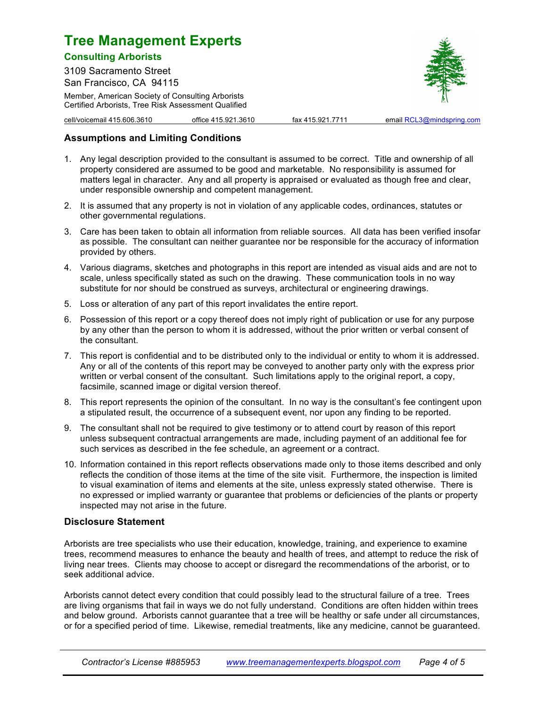### **Consulting Arborists**

3109 Sacramento Street San Francisco, CA 94115

Member, American Society of Consulting Arborists Certified Arborists, Tree Risk Assessment Qualified



cell/voicemail 415.606.3610 office 415.921.3610 fax 415.921.7711 email RCL3@mindspring.com

# **Assumptions and Limiting Conditions**

- 1. Any legal description provided to the consultant is assumed to be correct. Title and ownership of all property considered are assumed to be good and marketable. No responsibility is assumed for matters legal in character. Any and all property is appraised or evaluated as though free and clear, under responsible ownership and competent management.
- 2. It is assumed that any property is not in violation of any applicable codes, ordinances, statutes or other governmental regulations.
- 3. Care has been taken to obtain all information from reliable sources. All data has been verified insofar as possible. The consultant can neither guarantee nor be responsible for the accuracy of information provided by others.
- 4. Various diagrams, sketches and photographs in this report are intended as visual aids and are not to scale, unless specifically stated as such on the drawing. These communication tools in no way substitute for nor should be construed as surveys, architectural or engineering drawings.
- 5. Loss or alteration of any part of this report invalidates the entire report.
- 6. Possession of this report or a copy thereof does not imply right of publication or use for any purpose by any other than the person to whom it is addressed, without the prior written or verbal consent of the consultant.
- 7. This report is confidential and to be distributed only to the individual or entity to whom it is addressed. Any or all of the contents of this report may be conveyed to another party only with the express prior written or verbal consent of the consultant. Such limitations apply to the original report, a copy, facsimile, scanned image or digital version thereof.
- 8. This report represents the opinion of the consultant. In no way is the consultant's fee contingent upon a stipulated result, the occurrence of a subsequent event, nor upon any finding to be reported.
- 9. The consultant shall not be required to give testimony or to attend court by reason of this report unless subsequent contractual arrangements are made, including payment of an additional fee for such services as described in the fee schedule, an agreement or a contract.
- 10. Information contained in this report reflects observations made only to those items described and only reflects the condition of those items at the time of the site visit. Furthermore, the inspection is limited to visual examination of items and elements at the site, unless expressly stated otherwise. There is no expressed or implied warranty or guarantee that problems or deficiencies of the plants or property inspected may not arise in the future.

# **Disclosure Statement**

Arborists are tree specialists who use their education, knowledge, training, and experience to examine trees, recommend measures to enhance the beauty and health of trees, and attempt to reduce the risk of living near trees. Clients may choose to accept or disregard the recommendations of the arborist, or to seek additional advice.

Arborists cannot detect every condition that could possibly lead to the structural failure of a tree. Trees are living organisms that fail in ways we do not fully understand. Conditions are often hidden within trees and below ground. Arborists cannot guarantee that a tree will be healthy or safe under all circumstances, or for a specified period of time. Likewise, remedial treatments, like any medicine, cannot be guaranteed.